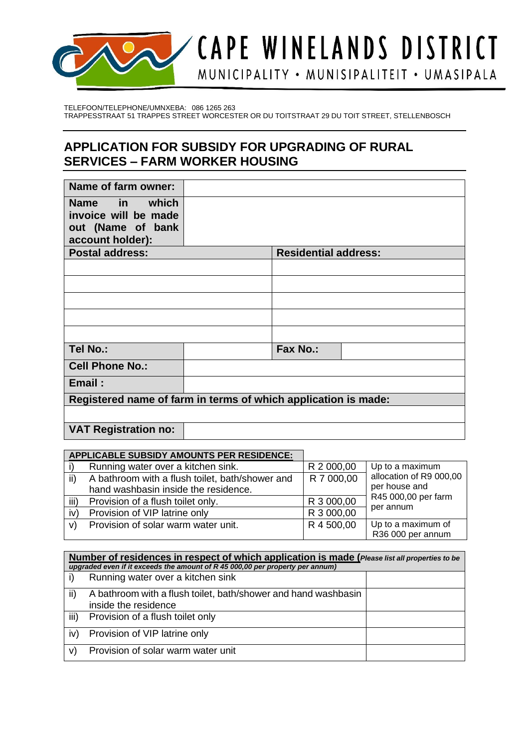

TELEFOON/TELEPHONE/UMNXEBA: 086 1265 263 TRAPPESSTRAAT 51 TRAPPES STREET WORCESTER OR DU TOITSTRAAT 29 DU TOIT STREET, STELLENBOSCH

## **APPLICATION FOR SUBSIDY FOR UPGRADING OF RURAL SERVICES – FARM WORKER HOUSING**

| Name of farm owner:                                            |  |                             |  |
|----------------------------------------------------------------|--|-----------------------------|--|
| Name in which                                                  |  |                             |  |
| invoice will be made                                           |  |                             |  |
| out (Name of bank                                              |  |                             |  |
| account holder):                                               |  |                             |  |
| <b>Postal address:</b>                                         |  | <b>Residential address:</b> |  |
|                                                                |  |                             |  |
|                                                                |  |                             |  |
|                                                                |  |                             |  |
|                                                                |  |                             |  |
|                                                                |  |                             |  |
| Tel No.:                                                       |  | <b>Fax No.:</b>             |  |
| <b>Cell Phone No.:</b>                                         |  |                             |  |
| Email:                                                         |  |                             |  |
| Registered name of farm in terms of which application is made: |  |                             |  |
|                                                                |  |                             |  |
| <b>VAT Registration no:</b>                                    |  |                             |  |

|      | <b>APPLICABLE SUBSIDY AMOUNTS PER RESIDENCE:</b> |            |                         |
|------|--------------------------------------------------|------------|-------------------------|
|      | Running water over a kitchen sink.               | R 2 000,00 | Up to a maximum         |
| ii)  | A bathroom with a flush toilet, bath/shower and  | R 7 000,00 | allocation of R9 000,00 |
|      | hand washbasin inside the residence.             |            | per house and           |
| iii) | Provision of a flush toilet only.                | R 3 000,00 | R45 000,00 per farm     |
| iv   | Provision of VIP latrine only                    | R 3 000,00 | per annum               |
| v)   | Provision of solar warm water unit.              | R 4 500,00 | Up to a maximum of      |
|      |                                                  |            | R36 000 per annum       |

| Number of residences in respect of which application is made (Please list all properties to be<br>upgraded even if it exceeds the amount of R 45 000,00 per property per annum) |                                                                                        |  |
|---------------------------------------------------------------------------------------------------------------------------------------------------------------------------------|----------------------------------------------------------------------------------------|--|
|                                                                                                                                                                                 | Running water over a kitchen sink                                                      |  |
| ii)                                                                                                                                                                             | A bathroom with a flush toilet, bath/shower and hand washbasin<br>inside the residence |  |
| iii)                                                                                                                                                                            | Provision of a flush toilet only                                                       |  |
| iv)                                                                                                                                                                             | Provision of VIP latrine only                                                          |  |
| V)                                                                                                                                                                              | Provision of solar warm water unit                                                     |  |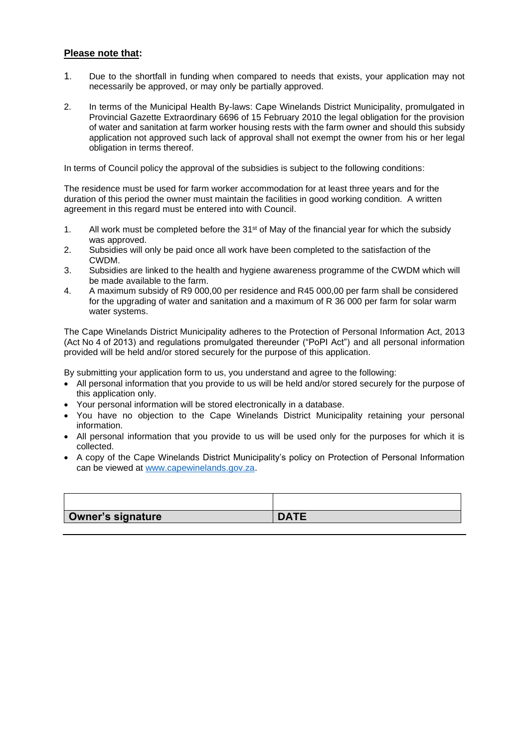## **Please note that:**

- 1. Due to the shortfall in funding when compared to needs that exists, your application may not necessarily be approved, or may only be partially approved.
- 2. In terms of the Municipal Health By-laws: Cape Winelands District Municipality, promulgated in Provincial Gazette Extraordinary 6696 of 15 February 2010 the legal obligation for the provision of water and sanitation at farm worker housing rests with the farm owner and should this subsidy application not approved such lack of approval shall not exempt the owner from his or her legal obligation in terms thereof.

In terms of Council policy the approval of the subsidies is subject to the following conditions:

The residence must be used for farm worker accommodation for at least three years and for the duration of this period the owner must maintain the facilities in good working condition. A written agreement in this regard must be entered into with Council.

- 1. All work must be completed before the  $31<sup>st</sup>$  of May of the financial year for which the subsidy was approved.
- 2. Subsidies will only be paid once all work have been completed to the satisfaction of the CWDM.
- 3. Subsidies are linked to the health and hygiene awareness programme of the CWDM which will be made available to the farm.
- 4. A maximum subsidy of R9 000,00 per residence and R45 000,00 per farm shall be considered for the upgrading of water and sanitation and a maximum of R 36 000 per farm for solar warm water systems.

The Cape Winelands District Municipality adheres to the Protection of Personal Information Act, 2013 (Act No 4 of 2013) and regulations promulgated thereunder ("PoPI Act") and all personal information provided will be held and/or stored securely for the purpose of this application.

By submitting your application form to us, you understand and agree to the following:

- All personal information that you provide to us will be held and/or stored securely for the purpose of this application only.
- Your personal information will be stored electronically in a database.
- You have no objection to the Cape Winelands District Municipality retaining your personal information.
- All personal information that you provide to us will be used only for the purposes for which it is collected.
- A copy of the Cape Winelands District Municipality's policy on Protection of Personal Information can be viewed at [www.capewinelands.gov.za.](http://www.capewinelands.gov.za/)

| <b>Owner's signature</b> | <b>DATE</b> |
|--------------------------|-------------|